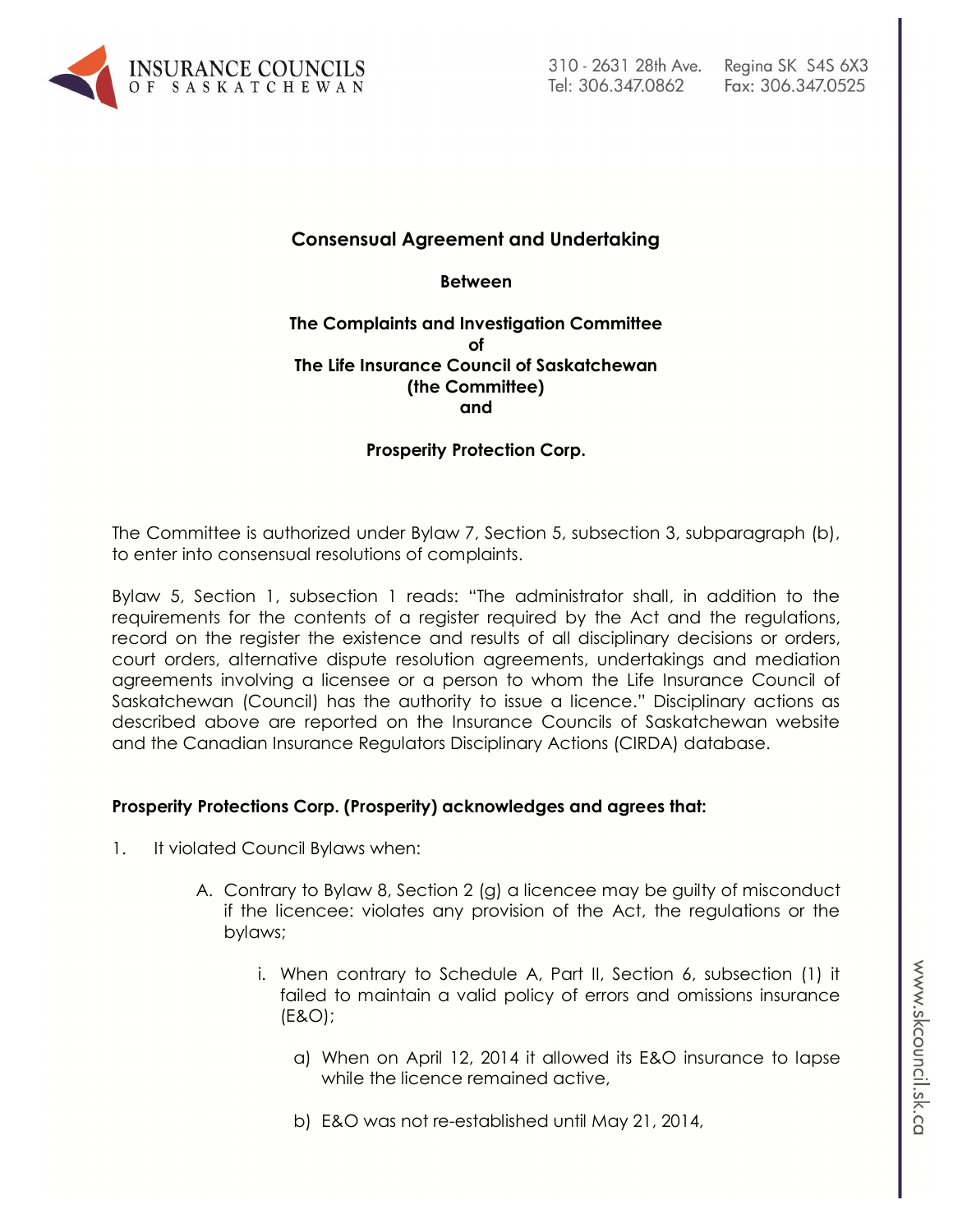

# **Consensual Agreement and Undertaking**

**Between**

#### **The Complaints and Investigation Committee of The Life Insurance Council of Saskatchewan (the Committee) and**

**Prosperity Protection Corp.**

The Committee is authorized under Bylaw 7, Section 5, subsection 3, subparagraph (b), to enter into consensual resolutions of complaints.

Bylaw 5, Section 1, subsection 1 reads: "The administrator shall, in addition to the requirements for the contents of a register required by the Act and the regulations, record on the register the existence and results of all disciplinary decisions or orders, court orders, alternative dispute resolution agreements, undertakings and mediation agreements involving a licensee or a person to whom the Life Insurance Council of Saskatchewan (Council) has the authority to issue a licence." Disciplinary actions as described above are reported on the Insurance Councils of Saskatchewan website and the Canadian Insurance Regulators Disciplinary Actions (CIRDA) database.

#### **Prosperity Protections Corp. (Prosperity) acknowledges and agrees that:**

- 1. It violated Council Bylaws when:
	- A. Contrary to Bylaw 8, Section 2 (g) a licencee may be guilty of misconduct if the licencee: violates any provision of the Act, the regulations or the bylaws;
		- i. When contrary to Schedule A, Part II, Section 6, subsection (1) it failed to maintain a valid policy of errors and omissions insurance (E&O);
			- a) When on April 12, 2014 it allowed its E&O insurance to lapse while the licence remained active,
			- b) E&O was not re-established until May 21, 2014,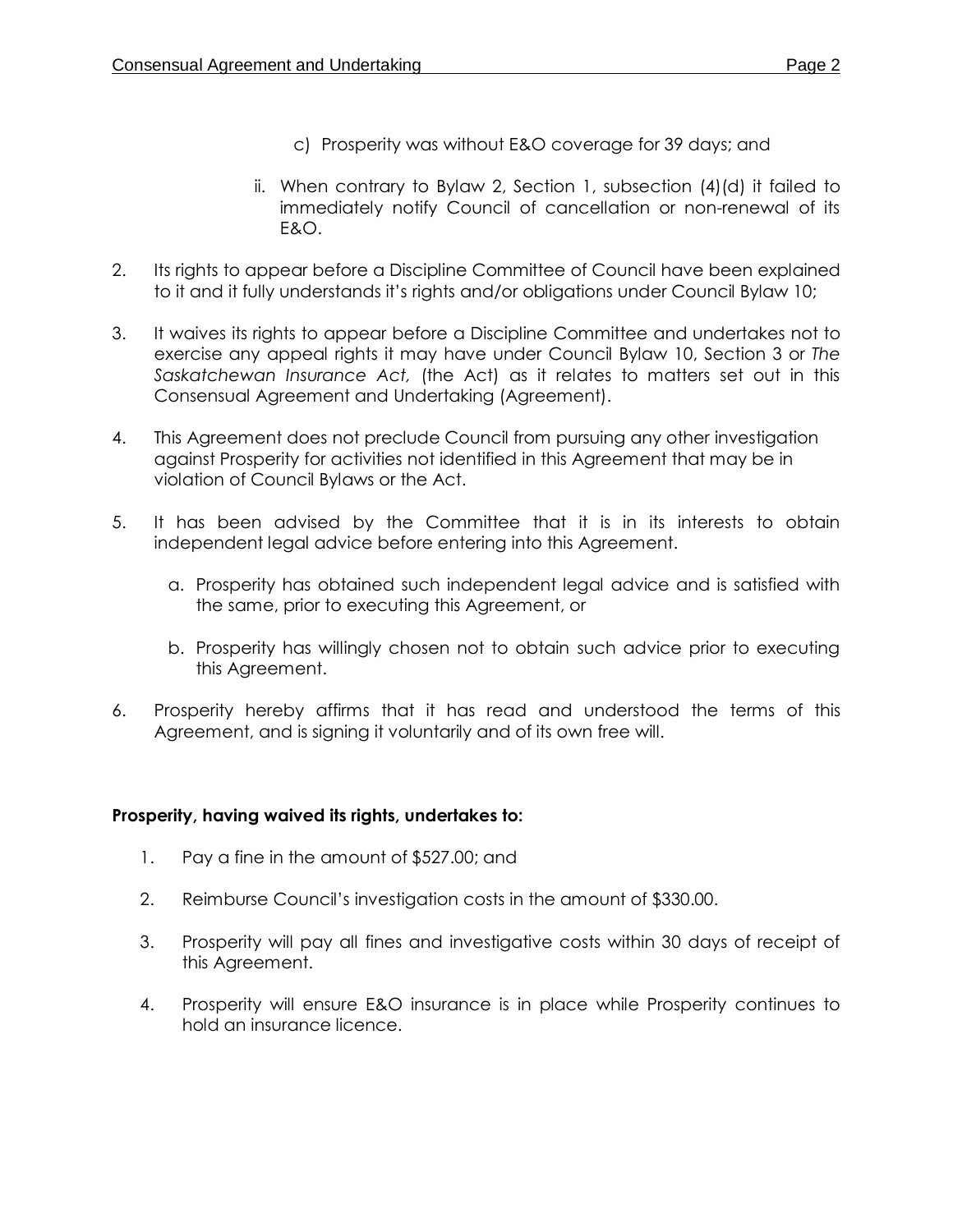- c) Prosperity was without E&O coverage for 39 days; and
- ii. When contrary to Bylaw 2, Section 1, subsection (4)(d) it failed to immediately notify Council of cancellation or non-renewal of its E&O.
- 2. Its rights to appear before a Discipline Committee of Council have been explained to it and it fully understands it's rights and/or obligations under Council Bylaw 10;
- 3. It waives its rights to appear before a Discipline Committee and undertakes not to exercise any appeal rights it may have under Council Bylaw 10, Section 3 or *The Saskatchewan Insurance Act,* (the Act) as it relates to matters set out in this Consensual Agreement and Undertaking (Agreement).
- 4. This Agreement does not preclude Council from pursuing any other investigation against Prosperity for activities not identified in this Agreement that may be in violation of Council Bylaws or the Act.
- 5. It has been advised by the Committee that it is in its interests to obtain independent legal advice before entering into this Agreement.
	- a. Prosperity has obtained such independent legal advice and is satisfied with the same, prior to executing this Agreement, or
	- b. Prosperity has willingly chosen not to obtain such advice prior to executing this Agreement.
- 6. Prosperity hereby affirms that it has read and understood the terms of this Agreement, and is signing it voluntarily and of its own free will.

## **Prosperity, having waived its rights, undertakes to:**

- 1. Pay a fine in the amount of \$527.00; and
- 2. Reimburse Council's investigation costs in the amount of \$330.00.
- 3. Prosperity will pay all fines and investigative costs within 30 days of receipt of this Agreement.
- 4. Prosperity will ensure E&O insurance is in place while Prosperity continues to hold an insurance licence.